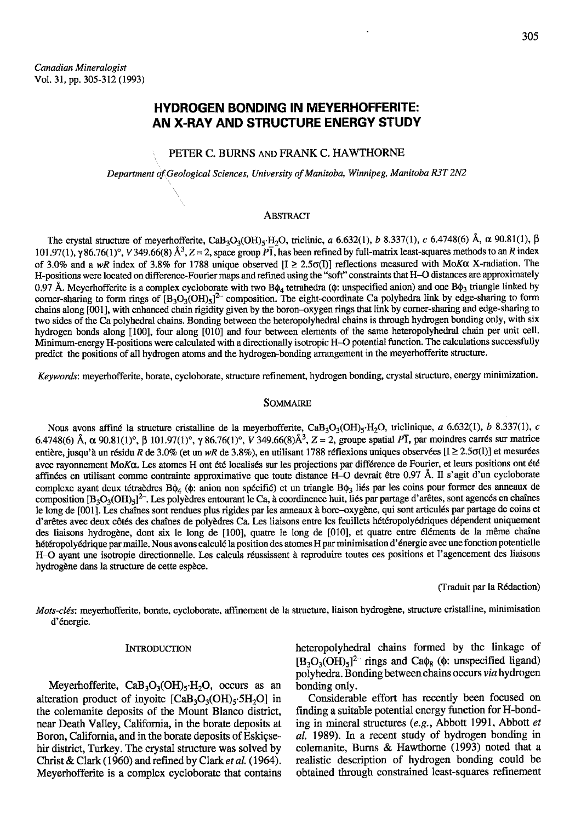# HYDROGEN BONDING IN MEVERHOFFERITE: AN X.RAY AND STRUCTURE ENERGY STUDY

## PETER C. BURNS AND FRANK C. HAWTHORNE

Department of Geological Sciences, University of Manitoba, Winnipeg, Manitoba R3T 2N2

## **ABSTRACT**

The crystal structure of meyerhofferite, CaB<sub>3</sub>O<sub>3</sub>(OH)<sub>5</sub>.H<sub>2</sub>O, triclinic, a 6.632(1), b 8.337(1), c 6.4748(6) Å,  $\alpha$  90.81(1),  $\beta$ 101.97(1),  $\gamma$ 86.76(1)°, V349.66(8) Å<sup>3</sup>, Z = 2, space group P $\overline{1}$ , has been refined by full-matrix least-squares methods to an R index of 3.0% and a wR index of 3.8% for 1788 unique observed  $[1 \ge 2.5\sigma(1)]$  reflections measured with MoK $\alpha$  X-radiation. The H-positions were located on difference-Fourier maps and refined using the "soff' constraints that H-O distances are approximately 0.97 Å. Meyerhofferite is a complex cycloborate with two  $B\phi_4$  tetrahedra ( $\phi$ : unspecified anion) and one  $B\phi_3$  triangle linked by corner-sharing to form rings of  $[B_3O_3(OH)_5]^2$  composition. The eight-coordinate Ca polyhedra link by edge-sharing to form chains along [001], with enhanced chain rigidity given by the boron-oxygen rings that link by corner-sharing and edge-sharing to two sides of the Ca polyhedral chains. Bonding between the heteropolyhedral chains is through hydrogen bonding only, with six hydrogen bonds along [00], four along [010] and four between elements of the same heteropolyhedral chain per unit cell. Mnimum-energy H-positions were calculated with a directionally isotropic H-O potential function. The calculations successfully predict the positions of all hydrogen atoms and the hydrogen-bonding arrangement in the meyerhofferite structure.

Keywords: meyerhofferite, borate, cycloborate, structure refinement, hydrogen bonding, crystal structure, energy minimization.

#### **SOMMAIRE**

Nous avons affiné la structure cristalline de la meyerhofferite, CaB<sub>3</sub>O<sub>3</sub>(OH)<sub>5</sub>.H<sub>2</sub>O, triclinique, a 6.632(1), b 8.337(1), c 6.4748(6) Å,  $\alpha$  90.81(1)°,  $\beta$  101.97(1)°,  $\gamma$  86.76(1)°, V 349.66(8)Å<sup>3</sup>, Z = 2, groupe spatial PT, par moindres carrés sur matrice entière, jusqu'à un résidu R de 3.0% (et un wR de 3.8%), en utilisant 1788 réflexions uniques observées [I  $\geq 2.5\sigma(I)$ ] et mesurées avec rayonnement MoK $\alpha$ . Les atomes H ont été localisés sur les projections par différence de Fourier, et leurs positions ont été affin6es en utilisant comme contrainte approximative que toute distance H-O dewait 6tre 0.97 A. Il s'agit d'un cycloborate complexe ayant deux tétraèdres B $\phi_4$  ( $\phi$ : anion non spécifié) et un triangle B $\phi_3$  liés par les coins pour former des anneaux de composition  $[B_3O_3(OH)_5]^2$ . Les polyèdres entourant le Ca, à coordinence huit, liés par partage d'arêtes, sont agencés en chaînes le long de [001]. Les chaînes sont rendues plus rigides par les anneaux à bore-oxygène, qui sont articulés par partage de coins et d'arêtes avec deux côtés des chaînes de polyèdres Ca. Les liaisons entre les feuillets hétéropolyédriques dépendent uniquement des liaisons hydrogène, dont six le long de [100], quatre le long de [010], et quatre entre éléments de la même chaîne hétéropolyédrique par maille. Nous avons calculé la position des atomes H par minimisation d'énergie avec une fonction potentielle H-O ayant une isotropie directionnelle. Les calculs réussissent à reproduire toutes ces positions et l'agencement des liaisons hydrogène dans la structure de cette espèce.

(Iraduit par la R6daction)

Mots-clés: meyerhofferite, borate, cycloborate, affinement de la structure, liaison hydrogène, structure cristalline, minimisation d'6nergie.

Meyerhofferite,  $\text{CaB}_3\text{O}_3(\text{OH})_5\text{H}_2\text{O}$ , occurs as an bonding only.<br>eration product of invoite  $\text{CaB}_3\text{O}_3(\text{OH})_5\text{H}_3\text{O}$  in Considerable effort has recently been focused on alteration product of inyoite  $[CaB_3O_3(OH)_5.5H_2O]$  in Considerable effort has recently been focused on the colemanite deposits of the Mount Blanco district. finding a suitable potential energy function for H-bondthe colemanite deposits of the Mount Blanco district, Meyerhofferite is a complex cycloborate that contains

INrRoDUcrroN heteropolyhedral chains formed by the linkage of  $[B_3O_3(OH)_5]^{2-}$  rings and Ca $\phi_8$  ( $\phi$ : unspecified ligand) polyhedra. Bonding between chains occurs via hydrogen

near Death Valley, California, in the borate deposits at ing in mineral structures (e.g., Abbott 1991, Abbott et Boron, California, and in the borate deposits of Eskicse- al. 1989). In a recent study of hydrogen bonding i Boron, California, and in the borate deposits of Eskigse- al. 1989). In a recent study of hydrogen bonding in hir district. Turkey. The crystal structure was solved by colemanite. Burns & Hawthorne (1993) noted that a hir district, Turkey. The crystal structure was solved by colemanite, Burns & Hawthorne (1993) noted that a Christ & Clark (1960) and refined by Clark *et al.* (1964). realistic description of hydrogen bonding could be Christ & Clark (1960) and refined by Clark *et al.* (1964). realistic description of hydrogen bonding could be Meverhofferite is a complex cycloborate that contains obtained through constrained least-squares refinement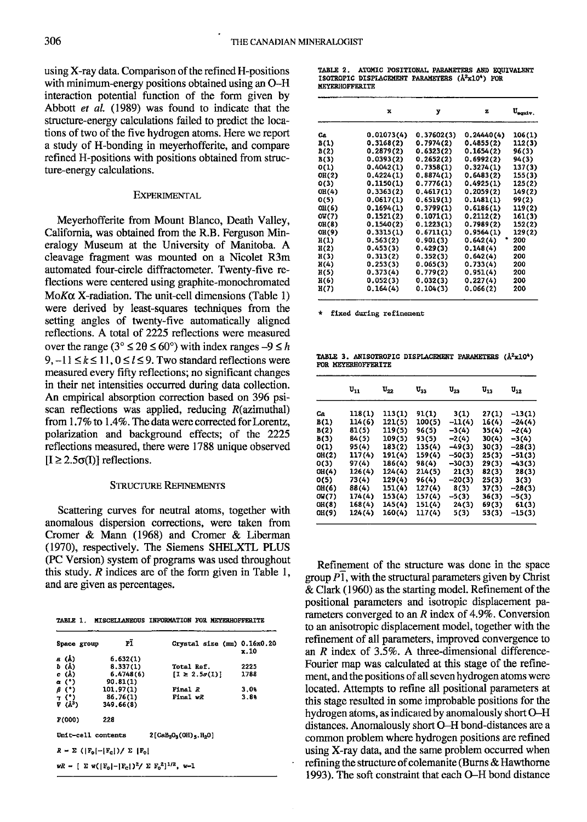using X-ray data. Comparison of the refined H-positions with minimum-energy positions obtained using an O-H interaction potential function of the form given by Abbott er al. (1989) was found to indicate that the structure-energy calculations failed to predict the locations of two of the five hydrogen atoms. Here we report a study of H-bonding in meyerhofferite, and compare refined H-positions with positions obtained from structure-energy calculations.

#### **EXPERIMENTAL**

Meyerhofferite from Mount Blanco, Death Valley, California, was obtained from the R.B. Ferguson Mineralogy Museum at the University of Manitoba. A cleavage fragment was mounted on a Nicolet R3m automated four-circle diffractometer. Twenty-five reflections were centered using graphite-monochromated Mo $K\alpha$  X-radiation. The unit-cell dimensions (Table 1) were derived by least-squares techniques from the setting angles of twenty-five automatically aligned reflections. A total of 2225 reflections were measured over the range ( $3^{\circ} \le 2\theta \le 60^{\circ}$ ) with index ranges  $-9 \le h$ 9,  $-11 \le k \le 11$ ,  $0 \le l \le 9$ . Two standard reflections were measured every fifty reflections; no significant changes in their net intensities occurred during daa collection. An empirical absorption correction based on 396 psiscan reflections was applied, reducing R(azimuthal) from 1.7% to 1.4%. The data were corrected for Lorentz, polarization and background effects; of the 2225 reflections measured, there were 1788 unique observed  $[I \geq 2.5\sigma(I)]$  reflections.

#### **STRUCTURE REFINEMENTS**

Scattering curves for neutral atoms, together with anomalous dispersion corrections, were taken from Cromer & Mann (1968) and Cromer & Liberman (1970), respectively. The Siemens SHELXTL PLUS (PC Version) system of programs was used throughout this study.  $R$  indices are of the form given in Table 1, and are given as percentages.

|  |  | TABLE 1. MISCELLANEOUS INFORMATION FOR MEYERHOFFERITE |
|--|--|-------------------------------------------------------|
|  |  |                                                       |

| Space group        | РÏ                                                                               | Crystal size $(\text{mm})$ 0.16 $x0.20$                            | x.10 |
|--------------------|----------------------------------------------------------------------------------|--------------------------------------------------------------------|------|
| a (Å)              | 6.632(1)                                                                         |                                                                    |      |
| b (Å)              | 8,337(1)                                                                         | <b>Total Ref.</b>                                                  | 2225 |
| c (A)              | 6.4748(6)                                                                        | $[1 \ge 2.5\sigma(1)]$                                             | 1788 |
| $\alpha$ (*)       | 90.81(1)                                                                         |                                                                    |      |
| B (*)              | 101.97(1)                                                                        | FinalR                                                             | 3.08 |
| 7 (°)              | 86.76(1)                                                                         | Final wR                                                           | 3.8% |
| $V(A^3)$           | 349.66(8)                                                                        |                                                                    |      |
| F(000)             | 228                                                                              |                                                                    |      |
| Unit-cell contents |                                                                                  | $2[{\rm Gab}_3O_3({\rm OH})$ - . ${\rm H}_2O]$                     |      |
|                    | $R = \Sigma$ ( $\vert F_0 \vert - \vert F_c \vert$ )/ $\Sigma$ $\vert F_0 \vert$ |                                                                    |      |
|                    |                                                                                  | $wR = [\Sigma w( F_{c} - F_{c} )^{2}/\Sigma F_{c}^{2}]^{1/2}, w=1$ |      |

TABLE 2. ATOMIC POSITIONAL PARAMETERS AND EQUIVALENT ISOTROPIC DISPLACEMENT PARAMETERS (Å<sup>2</sup>x10<sup>4</sup>) FOR **NEYERHOFFERITE** 

|                    | x          | у          | z          | $U_{\text{conv}}$ |
|--------------------|------------|------------|------------|-------------------|
| Сa                 | 0.01073(4) | 0.37602(3) | 0.24440(4) | 106(1)            |
| B(1)               | 0.3168(2)  | 0.7974(2)  | 0.4855(2)  | 112(3)            |
| B(2)               | 0.2879(2)  | 0.6323(2)  | 0.1654(2)  | 96(3)             |
| B(3)               | 0.0393(2)  | 0.2652(2)  | 0.6992(2)  | 94(3)             |
| 0(1)               | 0.4042(1)  | 0.7358(1)  | 0.3274(1)  | 137(3)            |
| OH(2)              | 0.4224(1)  | 0.8874(1)  | 0.6483(2)  | 155(3)            |
| O(3)               | 0.1150(1)  | 0.7776(1)  | 0.4925(1)  | 125(2)            |
| O <sub>H</sub> (4) | 0.3363(2)  | 0.4617(1)  | 0.2059(2)  | 149(2)            |
| O(5)               | 0.0617(1)  | 0.6519(1)  | 0.1481(1)  | 99(2)             |
| $OH(6)$            | 0.1694(1)  | 0.3799(1)  | 0.6186(1)  | 119(2)            |
| ow(7)              | 0.1521(2)  | 0.1071(1)  | 0.2112(2)  | 161(3)            |
| OH(8)              | 0.1540(2)  | 0.1223(1)  | 0.7989(2)  | 152(2)            |
| OH(9)              | 0.3315(1)  | 0.6711(1)  | 0.9564(1)  | 129(2)            |
| H(1)               | 0.563(2)   | 0.901(3)   | 0.642(4)   | 200               |
| H(2)               | 0.453(3)   | 0.429(3)   | 0.148(4)   | 200               |
| H(3)               | 0.313(2)   | 0.352(3)   | 0,642(4)   | 200               |
| H(4)               | 0.253(3)   | 0.065(3)   | 0.733(4)   | 200               |
| H(5)               | 0.373(4)   | 0.779(2)   | 0.951(4)   | 200               |
| H(6)               | 0.052(3)   | 0.032(3)   | 0.227(4)   | 200               |
| H(7)               | 0.164(4)   | 0.104(3)   | 0.066(2)   | 200               |

fixed during refinement

TABLE 3. ANISOTROPIC DISPLACEMENT PARAMETERS  $(\lambda^2 \mathbf{x} 10^4)$ FOR MEYERHOFFERITE

|                    | $\mathbf{u}_{\mathbf{11}}$ | $\mathrm{U}_{22}$ | $\mathbf{U}_{33}$ | $U_{23}$ | $U_{13}$ | $U_{12}$ |
|--------------------|----------------------------|-------------------|-------------------|----------|----------|----------|
| Cа                 | 118(1)                     | 113(1)            | 91(1)             | 3(1)     | 27(1)    | $-13(1)$ |
| B(1)               | 114(6)                     | 121(5)            | 100(5)            | $-11(4)$ | 16(4)    | $-24(4)$ |
| B(2)               | 81(5)                      | 119(5)            | 96(5)             | $-3(4)$  | 35(4)    | $-2(4)$  |
| B(3)               | 84(5)                      | 109(5)            | 93(5)             | $-2(4)$  | 30(4)    | $-3(4)$  |
| O(1)               | 95(4)                      | 183(2)            | 135(4)            | $-49(3)$ | 30(3)    | $-28(3)$ |
| OH(2)              | 117(4)                     | 191(4)            | 159(4)            | $-50(3)$ | 25(3)    | $-51(3)$ |
| O(3)               | 97(4)                      | 186(4)            | 98(4)             | $-30(3)$ | 29(3)    | $-43(3)$ |
| OII(4)             | 126(4)                     | 124(4)            | 214(5)            | 21(3)    | 82(3)    | 28(3)    |
| O(5)               | 73(4)                      | 129(4)            | 96(4)             | $-20(3)$ | 25(3)    | 3(3)     |
| $OH(6)$            | 88(4)                      | 151(4)            | 127(4)            | 8(3)     | 37(3)    | $-28(3)$ |
| OW(7)              | 174(4)                     | 153(4)            | 157(4)            | $-5(3)$  | 36(3)    | $-5(3)$  |
| O <sub>H</sub> (8) | 168(4)                     | 145(4)            | 151(4)            | 24(3)    | 69(3)    | 61(3)    |
| O <sub>H</sub> (9) | 124(4)                     | 160(4)            | 117(4)            | 5(3)     | 53(3)    | $-15(3)$ |

Refinement of the structure was done in the space group  $\overline{P_1}$ , with the structural parameters given by Christ & Clark (1960) as the starting model. Refinement of the positional parameters and isotropic displacement parameters converged to an  $R$  index of 4.9%. Conversion to an anisotropic displacement model, together with the refinement of all parameters, improved convergence to an  $R$  index of 3.5%. A three-dimensional difference-Fourier map was calculated at this stage of the refinement, and the positions of all seven hydrogen atoms were located. Attempts to refine all positional parameters at this stage resulted in some improbable positions for the hydrogen aioms, as indicared by anomalously short O-H distances. Anomalously short O-H bond-distances are a common problem where hydrogen positions are refined using X-ray data, and the same problem occurred when refining the structure of colemanite (Burns  $\&$  Hawthorne 1993). The soft constraint that each G-H bond distance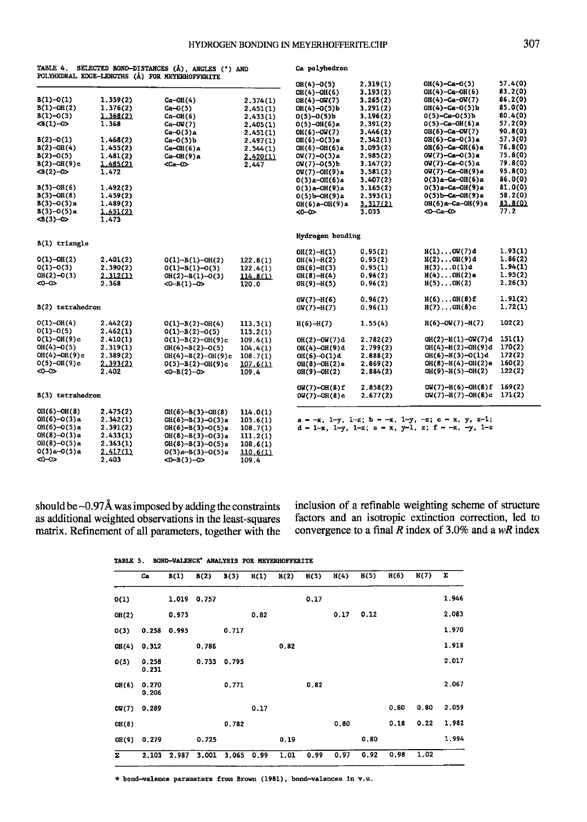|                    |          | TABLE 4. SELECTED BOND-DISTANCES (A), ANGLES (*) AND<br>POLYHEDRAL EDGE-LENGTHS (Å) FOR MEYERHOFFERITE |          | Ca polyhedron       |          |                                                                             |         |  |
|--------------------|----------|--------------------------------------------------------------------------------------------------------|----------|---------------------|----------|-----------------------------------------------------------------------------|---------|--|
|                    |          |                                                                                                        |          | OH(4)-O(5)          | 2.319(1) | $OH(4)-Ca-O(5)$                                                             | 57.4(0) |  |
|                    |          |                                                                                                        |          | $OH(4) -OH(6)$      | 3.193(2) | OH(4)-Ca-OH(6)                                                              | 83.2(0) |  |
| $B(1)-O(1)$        | 1.359(2) | $Ca-OH(4)$                                                                                             | 2,374(1) | $OH(4) - OW(7)$     | 3.265(2) | OH(4)-Ca-OW(7)                                                              | 86.2(0) |  |
| $B(1) - OH(2)$     | 1.376(2) | $Ca - O(5)$                                                                                            | 2,451(1) | $OH(4) - O(5)$ b    | 3.291(2) | $OH(4) - Ca - O(5)$ b                                                       | 85.0(0) |  |
| $B(1)-O(3)$        | 1.368(2) | $Ca-OH(6)$                                                                                             | 2.433(1) | $O(5)-O(5)$ b       | 3.196(2) | 0(5)-Ca-0(5)b                                                               | 80.4(0) |  |
| $-0.1$             | 1.368    | $Ca-OW(7)$                                                                                             | 2,405(1) | $0(5)-OH(6)$ a      | 2.391(2) | 0(5)-Ca-OH(6)a                                                              | 57.2(0) |  |
|                    |          | $Ca-O(3)a$                                                                                             | 2.451(1) | $OH(6)-OH(7)$       | 3.446(2) | OH(6)-Ca-OW(7)                                                              | 90.8(0) |  |
| $B(2)-O(1)$        | 1.468(2) | $Ca-O(5)b$                                                                                             | 2.497(1) | $OH(6)-O(3)a$       | 2.342(1) | $OH(6)-Ca-O(3)a$                                                            | 57.3(0) |  |
| $B(2) - OH(4)$     | 1.455(2) | $Ca-OH(6)$ a                                                                                           | 2.544(1) | OH(6)-OH(6)a        | 3,093(2) | OH(6)-Ca-OH(6)a                                                             | 76.8(0) |  |
| $B(2)-O(5)$        | 1.481(2) | Ca-OH(9)a                                                                                              | 2,420(1) | 0V(7)-0(3)a         | 2.985(2) | $OW(7)-Ca-0(3)a$                                                            | 75.8(0) |  |
| $B(2) - OH(9)c$    | 1.485(2) | $<$ Ca $-$ O>                                                                                          | 2.447    | 0V(7)-0(5)b         | 3.147(2) | 0W(7)-Ca-0(5)a                                                              | 79.8(0) |  |
| $< B(2)-O$         | 1.472    |                                                                                                        |          | OW(7)-OH(9)a        | 3.581(2) | OW(7)-Ca-OH(9)a                                                             | 95.8(0) |  |
|                    |          |                                                                                                        |          | $O(3)a-OH(6)a$      | 3,407(2) | $0(3)a-Ca-OH(6)a$                                                           | 86.0(0) |  |
| $B(3)-OH(6)$       | 1.492(2) |                                                                                                        |          | $O(3)a-OH(9)a$      | 3.165(2) | $0(3)a - Ca - OH(9)a$                                                       | 81,0(0) |  |
| $B(3)-OH(8)$       | 1.459(2) |                                                                                                        |          |                     |          | $O(5)$ b-Ca-OH $(9)$ a                                                      | 58.2(0) |  |
|                    |          |                                                                                                        |          | $0(5)$ b-OH $(9)$ a | 2.393(1) |                                                                             | 83.8(0) |  |
| $B(3)-O(3)$ a      | 1,489(2) |                                                                                                        |          | $OH(6)a-OH(9)a$     | 3.317(2) | OH(6)a-Ca-OH(9)a                                                            |         |  |
| $B(3)-O(5)$ a      | 1.451(2) |                                                                                                        |          | ⇔-െ                 | 3.033    | $CD$ -Ca-O>                                                                 | 77.2    |  |
| $< B(3)-O$         | 1.473    |                                                                                                        |          |                     |          |                                                                             |         |  |
| B(1) triangle      |          |                                                                                                        |          | Hydrogen bonding    |          |                                                                             |         |  |
|                    |          |                                                                                                        |          | $OH(2)-H(1)$        | 0.95(2)  | $H(1) \ldots QW(7) d$                                                       | 1.93(1) |  |
| 0(1)-0H(2)         | 2,401(2) | $O(1)-B(1)-OH(2)$                                                                                      | 122.8(1) | $OH(4)-H(2)$        | 0.95(2)  | $H(2)$ OH $(9)$ d                                                           | 1.86(2) |  |
| $0(1)-0(3)$        | 2.390(2) | $0(1)-B(1)-0(3)$                                                                                       | 122.4(1) | OH(6)-H(3)          | 0.95(1)  | $H(3) \ldots 0(1)d$                                                         | 1.94(1) |  |
| $OH(2)-O(3)$       | 2.312(1) | $OH(2)-B(1)-O(3)$                                                                                      | 114.8(1) | OH(8)-H(4)          | 0.96(2)  | $H(4) \ldots$ OH $(2)$ e                                                    | 1.95(2) |  |
| <0−0>              | 2.368    | $<0- B(1)-0>$                                                                                          | 120.0    | OH(9)-H(5)          | 0.96(2)  | $H(5)$ OH $(2)$                                                             | 2.26(3) |  |
|                    |          |                                                                                                        |          |                     |          |                                                                             |         |  |
|                    |          |                                                                                                        |          | $OW(7)-H(6)$        | 0.96(2)  | $H(6) \ldots$ OH $(8)$ f                                                    | 1.91(2) |  |
| B(2) tetrahedron   |          |                                                                                                        |          | $OW(7)-H(7)$        | 0.96(1)  | $H(7) \ldots$ OH $(8)$ c                                                    | 1.72(1) |  |
| $O(1) - OH(4)$     | 2.442(2) | $O(1)-B(2)-OH(4)$                                                                                      | 113,3(1) | H(6)-H(7)           | 1.55(4)  | $H(6)-OW(7)-H(7)$                                                           | 102(2)  |  |
| $0(1)-0(5)$        | 2,462(1) | $0(1)-B(2)-0(5)$                                                                                       | 113.2(1) |                     |          |                                                                             |         |  |
| $O(1)$ -OH $(9)$ c | 2.410(1) | $O(1)-B(2)-OH(9)c$                                                                                     | 109.4(1) | $OH(2)-OH(7) d$     | 2.782(2) | OH(2)-H(1)-OW(7)d                                                           | 151(1)  |  |
| OH(4)-0(5)         | 2.319(1) | $OH(4)-B(2)-O(5)$                                                                                      | 104.4(1) | OH(4)-OH(9)d        | 2.799(2) | $OH(4)-H(2)-OH(9) d$                                                        | 170(2)  |  |
| OH(4)-OH(9)c       | 2.389(2) | $OH(4)-B(2)-OH(9)c$                                                                                    | 108.7(1) | $OH(6)-O(1)d$       | 2.888(2) | $OH(6)-H(3)-O(1)d$                                                          | 172(2)  |  |
| $0(5)-OH(9)c$      | 2.393(2) | $0(5)-B(2)-OH(9)c$                                                                                     | 107.6(1) | $OH(8)-OH(2)$ e     | 2.869(2) | $OH(8)-H(4)-OH(2)$ e                                                        | 160(2)  |  |
| <0−0>              | 2.402    | $<0 - B(2) - 0$                                                                                        | 109.4    | $OH(9)-OH(2)$       | 2.884(2) | OH(9)-H(5)-OH(2)                                                            | 122(2)  |  |
|                    |          |                                                                                                        |          | $OW(7)-OH(8) f$     | 2.858(2) | $OW(7)-H(6)-OH(8) f$                                                        | 169(2)  |  |
| B(3) tetrahedron   |          |                                                                                                        |          | $OW(7)-OH(8)$ c     | 2.677(2) | 0W(7)-H(7)-0H(8)c                                                           | 171(2)  |  |
|                    |          |                                                                                                        |          |                     |          |                                                                             |         |  |
| $OH(6) - OH(8)$    | 2.475(2) | $OH(6)-B(3)-OH(8)$                                                                                     | 114.0(1) |                     |          |                                                                             |         |  |
| $OH(6)-O(3)$ a     | 2.342(1) | $OH(6)-B(3)-O(3)a$                                                                                     | 103.6(1) |                     |          | $a = -x$ , 1-y, 1-z; b = -x, 1-y, -z; c = x, y, z-1;                        |         |  |
| OH(6)--O(5)a       | 2.391(2) | $OH(6)-B(3)-O(5)$ a                                                                                    | 108.7(1) |                     |          | $d = 1-x$ , $1-y$ , $1-z$ ; $e = x$ , $y-1$ , $z$ ; $f = -x$ , $-y$ , $1-z$ |         |  |
| $OH(8)-O(3)a$      | 2.433(1) | $OH(8)-B(3)-O(3)a$                                                                                     | 111.2(1) |                     |          |                                                                             |         |  |
| $OH(8)-O(5)$ a     | 2.363(1) | $OH(8)-B(3)-O(5)a$                                                                                     | 108.6(1) |                     |          |                                                                             |         |  |
| $0(3)a-0(5)a$      | 2.417(1) | $O(3)a-B(3)-O(5)a$                                                                                     | 110.6(1) |                     |          |                                                                             |         |  |
| <0-0>              | 2.403    | $\langle 0 - B(3) - 0 \rangle$                                                                         | 109.4    |                     |          |                                                                             |         |  |
|                    |          |                                                                                                        |          |                     |          |                                                                             |         |  |

should be  $\sim 0.97$ Å was imposed by adding the constraints as additional weighted observations in the least-squares

inclusion of a refinable weighting scheme of structure<br>factors and an isotropic extinction correction, led to<br>convergence to a final  $R$  index of 3.0% and a  $wR$  index

|                    | Cа             | B(1)  | B(2)  | B(3)  | H(1) | H(2) | H(3) | H(4) | H(5) | H(6) | H(7) | Σ     |
|--------------------|----------------|-------|-------|-------|------|------|------|------|------|------|------|-------|
| O(1)               |                | 1.019 | 0.757 |       |      |      | 0.17 |      |      |      |      | 1.946 |
| $01(2)$            |                | 0.973 |       |       | 0.82 |      |      | 0.17 | 0.12 |      |      | 2.083 |
| O(3)               | 0.258          | 0.995 |       | 0.717 |      |      |      |      |      |      |      | 1.970 |
| OR(4)              | 0.312          |       | 0.786 |       |      | 0.82 |      |      |      |      |      | 1.918 |
| O(5)               | 0.258<br>0.231 |       | 0.733 | 0.795 |      |      |      |      |      |      |      | 2.017 |
| O <sub>H</sub> (6) | 0.270<br>0.206 |       |       | 0.771 |      |      | 0.82 |      |      |      |      | 2.067 |
| OVI(7)             | 0.289          |       |       |       | 0.17 |      |      |      |      | 0.80 | 0.80 | 2.059 |
| OH(8)              |                |       |       | 0.782 |      |      |      | 0.80 |      | 0.18 | 0.22 | 1.982 |
| OH(9)              | 0.279          |       | 0.725 |       |      | 0.19 |      |      | 0.80 |      |      | 1.994 |
| Σ                  | 2.103          | 2.987 | 3.001 | 3.065 | 0.99 | 1.01 | 0.99 | 0.97 | 0.92 | 0.98 | 1.02 |       |

matrix. Refinement of all parameters, together with the

\* bond-valence parameters from Brown (1981), bond-valences in v.u.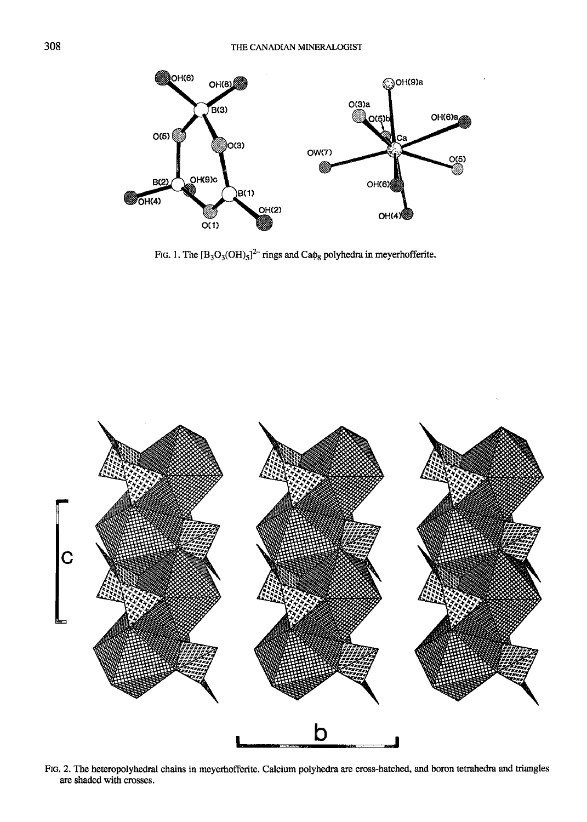

FtG. 1. The  $[\text{B}_3\text{O}_3(\text{OH})_5]^2$ <sup>-</sup> rings and Ca $\phi_8$  polyhedra in meyerhofferite.



Flc. 2. The heteropolyhedral chains in meyerhofferite. Calcium polyhedra are cross-hatched, and boron tetrahedra and triangles are shaded with crosses.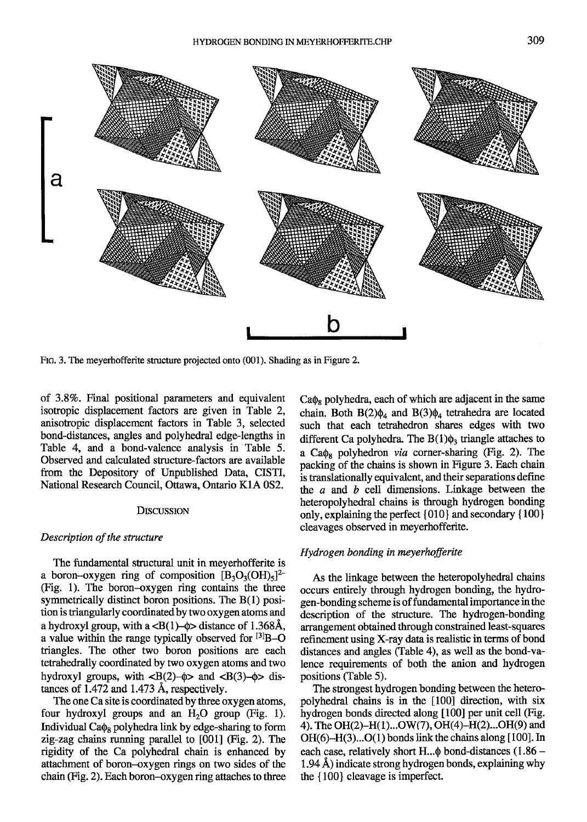

Ftg. 3. The meyerhofferite structure projected onto (001). Shading as in Figure 2.

of 3.8Vo. Final positional parameters and equivalent isotropic displacement factors are given in Table 2, anisotropic displacement factors in Table 3, selected bond-distances, angles and polyhedral edge-lengths in Table 4, and a bond-valence analysis in Table 5. Observed and calculated structure-factors are available from the Depository of Unpublished Data, CISTI, National Research Council, Ottawa, Ontario K1A 0S2.

#### DISCUSSION

#### Description of the structure

The fundamental structural unit in meyerhofferite is a boron-oxygen ring of composition  $[B_3O_3(OH)_5]^{2-}$ (Fig. l). The boron--oxygen ring contains the three symmetrically distinct boron positions. The B(1) position is triangularly coordinated by two oxygen atoms and a hydroxyl group, with a  $\langle B(1)$ - $\phi$  distance of 1.368Å, a value within the range typically observed for  $[3]B-O$ triangles. The other fwo boron positions are each tetrahedrally coordinated by firo oxygen atoms and two hydroxyl groups, with  $\langle B(2)-\phi\rangle$  and  $\langle B(3)-\phi\rangle$  distances of  $1.472$  and  $1.473$  Å, respectively.

The one Ca site is coordinated by three oxygen atoms, four hydroxyl groups and an  $H_2O$  group (Fig. 1). Individual  $Ca\phi_8$  polyhedra link by edge-sharing to form zig-zag chains running parallel to [001] (Fig. 2). The rigidity of the Ca polyhedral chain is enhanced by attachment of boron-oxygen rings on two sides of the chain (Fig. 2). Each boron-oxygen ring attaches to three

 $Ca\phi_8$  polyhedra, each of which are adjacent in the same chain. Both  $B(2)\phi_4$  and  $B(3)\phi_4$  tetrahedra are located such that each teffahedron shares edges with two different Ca polyhedra. The  $B(1)\phi_3$  triangle attaches to a Ca $\phi$ <sub>s</sub> polyhedron *via* corner-sharing (Fig. 2). The packing of the chains is shown in Figure 3. Each chain is translationally equivalent, and their separations define the  $a$  and  $b$  cell dimensions. Linkage between the heteropolyhedral chains is through hydrogen bonding only, explaining the perfect  ${010}$  and secondary  ${100}$ cleavages observed in meyerhofferite.

## Hydrogen bonding in meyerhofferite

As the linkage between the heteropolyhedral chains occurs entirely through hydrogen bonding, the hydrogen-bonding scheme is of fundamental importance in the description of the structure. The hydrogen-bonding arrangement obtained through constrained least-squares refinement using X-ray data is realistic in terms of bond distances and angles (Table 4), as well as the bond-valence requirements of both the anion and hydrogen positions (Table 5).

The strongest hydrogen bonding between the heteropolyhedral chains is in the  $[100]$  direction, with six hydrogen bonds directed along  $[100]$  per unit cell (Fig. 4). The OH(2)-H(1)...OW(7), OH(4)-H(2)...OH(9) and OH(6)-H(3)...O(l) bonds link the chains along [100]. In each case, relatively short H... $\phi$  bond-distances (1.86 -1.94 A) indicate strong hydrogen bonds, explaining why the { 100} cleavage is imperfect.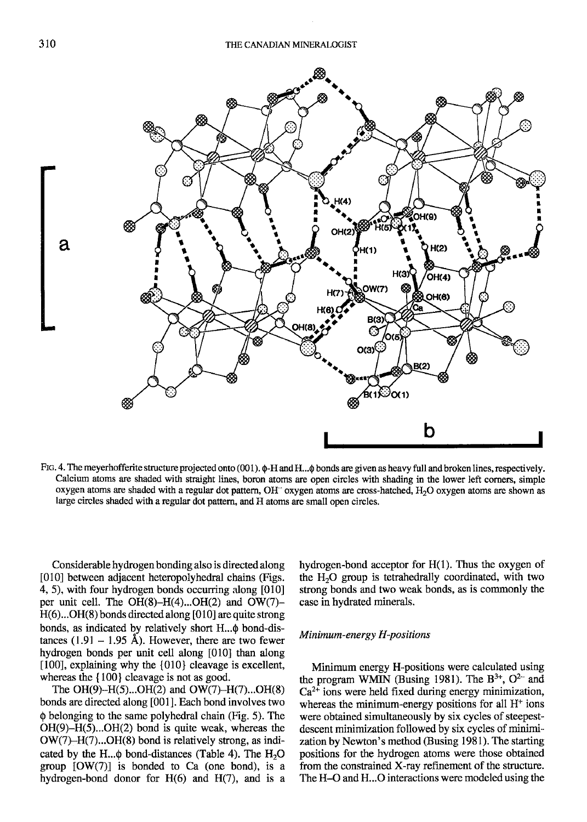

FtG. 4. The meyerhofferite structure projected onto (001).  $\phi$ -H and H... $\phi$  bonds are given as heavy full and broken lines, respectively. Calcium atoms are shaded with straight lines, boron atoms are open circles with shading in the lower left comers, simple oxygen atoms are shaded with a regular dot pattern, OH<sup>-</sup> oxygen atoms are cross-hatched, H<sub>2</sub>O oxygen atoms are shown as large circles shaded with a regular dot pattem, and H atoms are small open circles.

Considerable hydrogen bonding also is directed along [010] between adjacent heteropolyhedral chains (Figs. 4, 5), with four hydrogen bonds occurring along [010] per unit cell. The  $OH(8)$ -H(4)...OH(2) and OW(7)- $H(6)$ ...OH $(8)$  bonds directed along  $[010]$  are quite strong bonds. as indicated bv relativelv short H...d bond-distances  $(1.91 - 1.95 \text{ Å})$ . However, there are two fewer hydrogen bonds per unit cell along [010] than along [100], explaining why the {010} cleavage is excellent, whereas the  ${100}$  cleavage is not as good.

The OH(9)-H(5)...OH(2) and OW(7)-H(7)...OH(8) bonds are directed along [001]. Each bond involves two  $\phi$  belonging to the same polyhedral chain (Fig. 5). The OH(9)-H(5)...OH(2) bond is quite weak, whereas the OW(7)-H(7)...OH(8) bond is relatively strong, as indicated by the H... $\phi$  bond-distances (Table 4). The H<sub>2</sub>O group  $[OW(7)]$  is bonded to Ca (one bond), is a hydrogen-bond donor for H(6) and H(7), and is a hydrogen-bond acceptor for  $H(1)$ . Thus the oxygen of the  $H<sub>2</sub>O$  group is tetrahedrally coordinated, with two strong bonds and two weak bonds, as is commonly the case in hydrated minerals.

## Minimum-energy H-positions

Minimum energy H-positions were calculated using the program WMIN (Busing 1981). The  $B^{3+}$ ,  $O^{2-}$  and  $Ca<sup>2+</sup>$  ions were held fixed during energy minimization, whereas the minimum-energy positions for all  $H^+$  ions were obtained simultaneously by six cycles of steepestdescent minimization followed by six cycles of minimization by Newton's method (Busing 1981). The starting positions for the hydrogen atoms were those obtained from the constrained X-ray refinement of the structure. The H-O and H...O interactions were modeled using the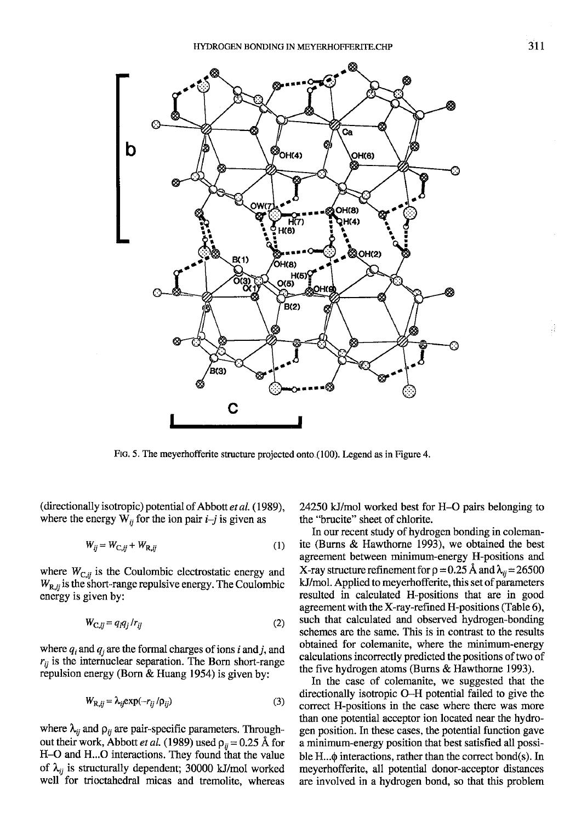

FtG. 5. The meyerhofferite structure projected onto (100). Legend as in Figure 4.

(directionally isotropic) potential of Abbott et al.  $(1989)$ , where the energy  $W_{ii}$  for the ion pair  $i-j$  is given as

$$
W_{ij} = W_{C,ij} + W_{R,ij} \tag{1}
$$

where  $W_{C,ii}$  is the Coulombic electrostatic energy and  $W_{R,ij}$  is the short-range repulsive energy. The Coulombic energy is given by:

$$
W_{\text{C},ij} = q_i q_j / r_{ij} \tag{2}
$$

where  $q_i$  and  $q_j$  are the formal charges of ions i and j, and  $r_{ij}$  is the internuclear separation. The Born short-range repulsion energy (Born & Huang 1954) is given by:

$$
W_{\text{R},ii} = \lambda_{ii} \exp(-r_{ii}/\rho_{ii})
$$
 (3)

where  $\lambda_{ij}$  and  $\rho_{ij}$  are pair-specific parameters. Throughout their work, Abbott *et al.* (1989) used  $\rho_{ii} = 0.25$  Å for H-O and H...O interactions. They found ihat the value of  $\lambda_{ij}$  is structurally dependent; 30000 kJ/mol worked well for trioctahedral micas and tremolite, whereas 24250kJlmol worked best for H-O pairs belonging to the "brucite" sheet of chlorite.

In our recent study of hydrogen bonding in colemanite (Burns & Hawthorne 1993), we obtained the best agreement befween minimum-energy H-positions and X-ray structure refinement for  $p = 0.25$  Å and  $\lambda_{ii} = 26500$ kJ/mol. Applied to meyerhofferite, this set of parameters resulted in calculated H-positions that are in good agreement with the X-ray-refined H-positions (Table 6), such that calculated and observed hydrogen-bonding schemes are the same. This is in contrast to the results obtained for colemanite, where the minimum-energy calculations incorrectly predicted the positions of two of the five hydrogen atoms (Burns & Hawthorne 1993).

In the case of colemanite, we suggested that the directionally isotropic O-H potential failed to give the correct H-positions in the case where there was more than one potential acceptor ion located near the hydrogen position. In these cases, the potential function gave a minimum-energy position that best satisfied all possi ble H... $\phi$  interactions, rather than the correct bond(s). In meyerhofferite, all potential donor-acceptor distances are involved in a hydrogen bond, so that this problem